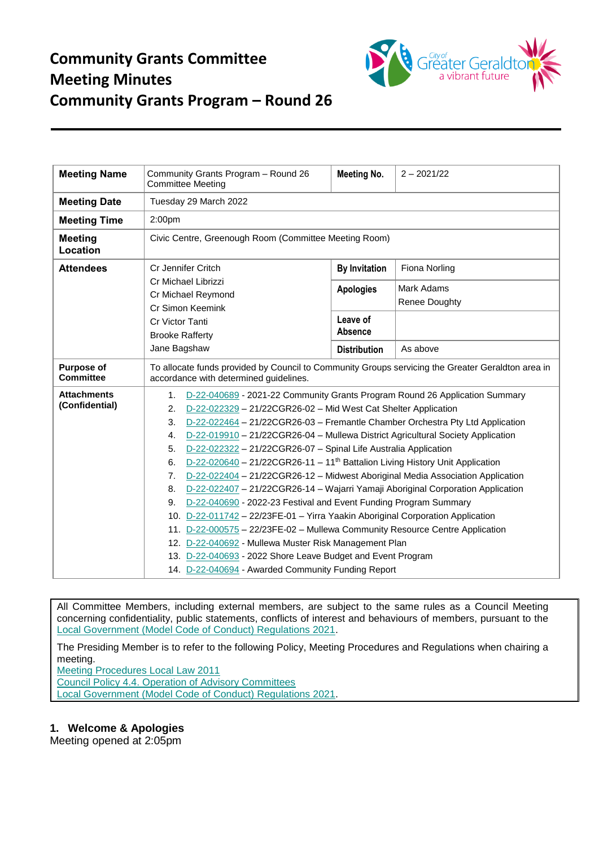

| <b>Meeting Name</b>                   | Community Grants Program - Round 26<br><b>Committee Meeting</b>                                                                                                                                                                                                                                                                                                                                                                                                                                                                                                                                                                                                                                                                                                                                                                                                                                                                                                                                                                                                                                                                 | <b>Meeting No.</b>         | $2 - 2021/22$                      |  |  |
|---------------------------------------|---------------------------------------------------------------------------------------------------------------------------------------------------------------------------------------------------------------------------------------------------------------------------------------------------------------------------------------------------------------------------------------------------------------------------------------------------------------------------------------------------------------------------------------------------------------------------------------------------------------------------------------------------------------------------------------------------------------------------------------------------------------------------------------------------------------------------------------------------------------------------------------------------------------------------------------------------------------------------------------------------------------------------------------------------------------------------------------------------------------------------------|----------------------------|------------------------------------|--|--|
| <b>Meeting Date</b>                   | Tuesday 29 March 2022                                                                                                                                                                                                                                                                                                                                                                                                                                                                                                                                                                                                                                                                                                                                                                                                                                                                                                                                                                                                                                                                                                           |                            |                                    |  |  |
| <b>Meeting Time</b>                   | 2:00pm                                                                                                                                                                                                                                                                                                                                                                                                                                                                                                                                                                                                                                                                                                                                                                                                                                                                                                                                                                                                                                                                                                                          |                            |                                    |  |  |
| <b>Meeting</b><br>Location            | Civic Centre, Greenough Room (Committee Meeting Room)                                                                                                                                                                                                                                                                                                                                                                                                                                                                                                                                                                                                                                                                                                                                                                                                                                                                                                                                                                                                                                                                           |                            |                                    |  |  |
| <b>Attendees</b>                      | Cr Jennifer Critch                                                                                                                                                                                                                                                                                                                                                                                                                                                                                                                                                                                                                                                                                                                                                                                                                                                                                                                                                                                                                                                                                                              | <b>By Invitation</b>       | Fiona Norling                      |  |  |
|                                       | Cr Michael Librizzi<br>Cr Michael Reymond<br>Cr Simon Keemink                                                                                                                                                                                                                                                                                                                                                                                                                                                                                                                                                                                                                                                                                                                                                                                                                                                                                                                                                                                                                                                                   | <b>Apologies</b>           | Mark Adams<br><b>Renee Doughty</b> |  |  |
|                                       | Cr Victor Tanti<br><b>Brooke Rafferty</b>                                                                                                                                                                                                                                                                                                                                                                                                                                                                                                                                                                                                                                                                                                                                                                                                                                                                                                                                                                                                                                                                                       | Leave of<br><b>Absence</b> |                                    |  |  |
|                                       | Jane Bagshaw                                                                                                                                                                                                                                                                                                                                                                                                                                                                                                                                                                                                                                                                                                                                                                                                                                                                                                                                                                                                                                                                                                                    | <b>Distribution</b>        | As above                           |  |  |
| <b>Purpose of</b><br><b>Committee</b> | To allocate funds provided by Council to Community Groups servicing the Greater Geraldton area in<br>accordance with determined guidelines.                                                                                                                                                                                                                                                                                                                                                                                                                                                                                                                                                                                                                                                                                                                                                                                                                                                                                                                                                                                     |                            |                                    |  |  |
| <b>Attachments</b><br>(Confidential)  | D-22-040689 - 2021-22 Community Grants Program Round 26 Application Summary<br>1.<br>D-22-022329 - 21/22CGR26-02 - Mid West Cat Shelter Application<br>2.<br>D-22-022464 - 21/22CGR26-03 - Fremantle Chamber Orchestra Pty Ltd Application<br>3.<br>D-22-019910 - 21/22CGR26-04 - Mullewa District Agricultural Society Application<br>4.<br>D-22-022322 - 21/22CGR26-07 - Spinal Life Australia Application<br>5.<br>D-22-020640 - 21/22CGR26-11 - 11 <sup>th</sup> Battalion Living History Unit Application<br>6.<br>D-22-022404 - 21/22CGR26-12 - Midwest Aboriginal Media Association Application<br>7.<br>D-22-022407 - 21/22CGR26-14 - Wajarri Yamaji Aboriginal Corporation Application<br>8.<br>D-22-040690 - 2022-23 Festival and Event Funding Program Summary<br>9.<br>10. D-22-011742 - 22/23FE-01 - Yirra Yaakin Aboriginal Corporation Application<br>11. D-22-000575 - 22/23FE-02 - Mullewa Community Resource Centre Application<br>12. D-22-040692 - Mullewa Muster Risk Management Plan<br>13. D-22-040693 - 2022 Shore Leave Budget and Event Program<br>14. D-22-040694 - Awarded Community Funding Report |                            |                                    |  |  |

All Committee Members, including external members, are subject to the same rules as a Council Meeting concerning confidentiality, public statements, conflicts of interest and behaviours of members, pursuant to the [Local Government \(Model Code of Conduct\) Regulations 2021.](https://www.legislation.wa.gov.au/legislation/statutes.nsf/law_s52479.html)

The Presiding Member is to refer to the following Policy, Meeting Procedures and Regulations when chairing a meeting.

[Meeting Procedures Local Law 2011](https://www.cgg.wa.gov.au/Profiles/cgg/Assets/ClientData/Local_Laws/Meeting_Procedures_Local_Law_2011_-_Consolidated_-_Website.pdf) [Council Policy 4.4. Operation of Advisory Committees](https://www.cgg.wa.gov.au/Profiles/cgg/Assets/ClientData/Council_Policy/4_4_Operation_of_Advisory_Committees_-_Version_3_-_2021.pdf) [Local Government \(Model Code of Conduct\) Regulations 2021.](https://www.legislation.wa.gov.au/legislation/statutes.nsf/law_s52479.html)

## **1. Welcome & Apologies**

Meeting opened at 2:05pm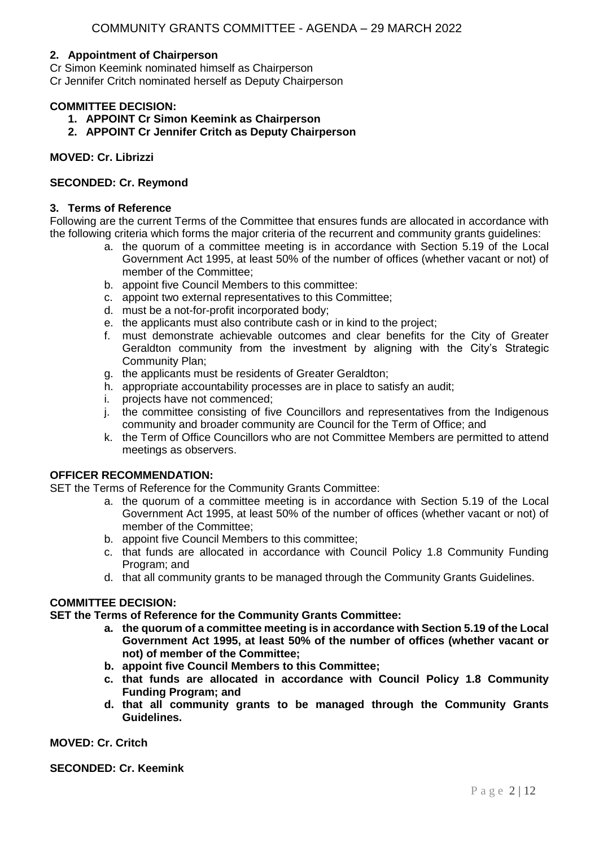### **2. Appointment of Chairperson**

Cr Simon Keemink nominated himself as Chairperson

Cr Jennifer Critch nominated herself as Deputy Chairperson

## **COMMITTEE DECISION:**

- **1. APPOINT Cr Simon Keemink as Chairperson**
- **2. APPOINT Cr Jennifer Critch as Deputy Chairperson**

## **MOVED: Cr. Librizzi**

## **SECONDED: Cr. Reymond**

#### **3. Terms of Reference**

Following are the current Terms of the Committee that ensures funds are allocated in accordance with the following criteria which forms the major criteria of the recurrent and community grants guidelines:

- a. the quorum of a committee meeting is in accordance with Section 5.19 of the Local Government Act 1995, at least 50% of the number of offices (whether vacant or not) of member of the Committee;
- b. appoint five Council Members to this committee:
- c. appoint two external representatives to this Committee;
- d. must be a not-for-profit incorporated body;
- e. the applicants must also contribute cash or in kind to the project;
- f. must demonstrate achievable outcomes and clear benefits for the City of Greater Geraldton community from the investment by aligning with the City's Strategic Community Plan;
- g. the applicants must be residents of Greater Geraldton;
- h. appropriate accountability processes are in place to satisfy an audit;
- i. projects have not commenced;
- j. the committee consisting of five Councillors and representatives from the Indigenous community and broader community are Council for the Term of Office; and
- k. the Term of Office Councillors who are not Committee Members are permitted to attend meetings as observers.

#### **OFFICER RECOMMENDATION:**

SET the Terms of Reference for the Community Grants Committee:

- a. the quorum of a committee meeting is in accordance with Section 5.19 of the Local Government Act 1995, at least 50% of the number of offices (whether vacant or not) of member of the Committee;
- b. appoint five Council Members to this committee;
- c. that funds are allocated in accordance with Council Policy 1.8 Community Funding Program; and
- d. that all community grants to be managed through the Community Grants Guidelines.

## **COMMITTEE DECISION:**

**SET the Terms of Reference for the Community Grants Committee:**

- **a. the quorum of a committee meeting is in accordance with Section 5.19 of the Local Government Act 1995, at least 50% of the number of offices (whether vacant or not) of member of the Committee;**
- **b. appoint five Council Members to this Committee;**
- **c. that funds are allocated in accordance with Council Policy 1.8 Community Funding Program; and**
- **d. that all community grants to be managed through the Community Grants Guidelines.**

**MOVED: Cr. Critch**

**SECONDED: Cr. Keemink**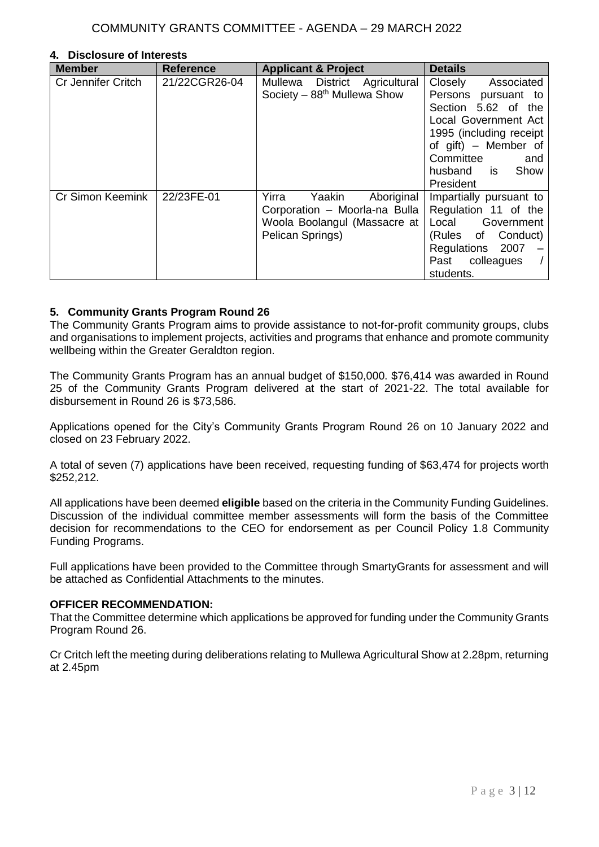#### **4. Disclosure of Interests**

| <b>Member</b>             | <b>Reference</b> | <b>Applicant &amp; Project</b> | <b>Details</b>           |
|---------------------------|------------------|--------------------------------|--------------------------|
| <b>Cr Jennifer Critch</b> | 21/22CGR26-04    | Mullewa District Agricultural  | Closely<br>Associated    |
|                           |                  | Society $-88th$ Mullewa Show   | Persons<br>pursuant to   |
|                           |                  |                                | Section 5.62 of the      |
|                           |                  |                                | Local Government Act     |
|                           |                  |                                | 1995 (including receipt) |
|                           |                  |                                | of gift) - Member of     |
|                           |                  |                                | Committee<br>and         |
|                           |                  |                                | husband is<br>Show       |
|                           |                  |                                | President                |
| Cr Simon Keemink          | 22/23FE-01       | Yaakin<br>Yirra<br>Aboriginal  | Impartially pursuant to  |
|                           |                  | Corporation - Moorla-na Bulla  | Regulation 11 of the     |
|                           |                  | Woola Boolangul (Massacre at   | Local Government         |
|                           |                  | Pelican Springs)               | (Rules of Conduct)       |
|                           |                  |                                | Regulations 2007         |
|                           |                  |                                | Past colleagues          |
|                           |                  |                                | students.                |

## **5. Community Grants Program Round 26**

The Community Grants Program aims to provide assistance to not-for-profit community groups, clubs and organisations to implement projects, activities and programs that enhance and promote community wellbeing within the Greater Geraldton region.

The Community Grants Program has an annual budget of \$150,000. \$76,414 was awarded in Round 25 of the Community Grants Program delivered at the start of 2021-22. The total available for disbursement in Round 26 is \$73,586.

Applications opened for the City's Community Grants Program Round 26 on 10 January 2022 and closed on 23 February 2022.

A total of seven (7) applications have been received, requesting funding of \$63,474 for projects worth \$252,212.

All applications have been deemed **eligible** based on the criteria in the Community Funding Guidelines. Discussion of the individual committee member assessments will form the basis of the Committee decision for recommendations to the CEO for endorsement as per Council Policy 1.8 Community Funding Programs.

Full applications have been provided to the Committee through SmartyGrants for assessment and will be attached as Confidential Attachments to the minutes.

#### **OFFICER RECOMMENDATION:**

That the Committee determine which applications be approved for funding under the Community Grants Program Round 26.

Cr Critch left the meeting during deliberations relating to Mullewa Agricultural Show at 2.28pm, returning at 2.45pm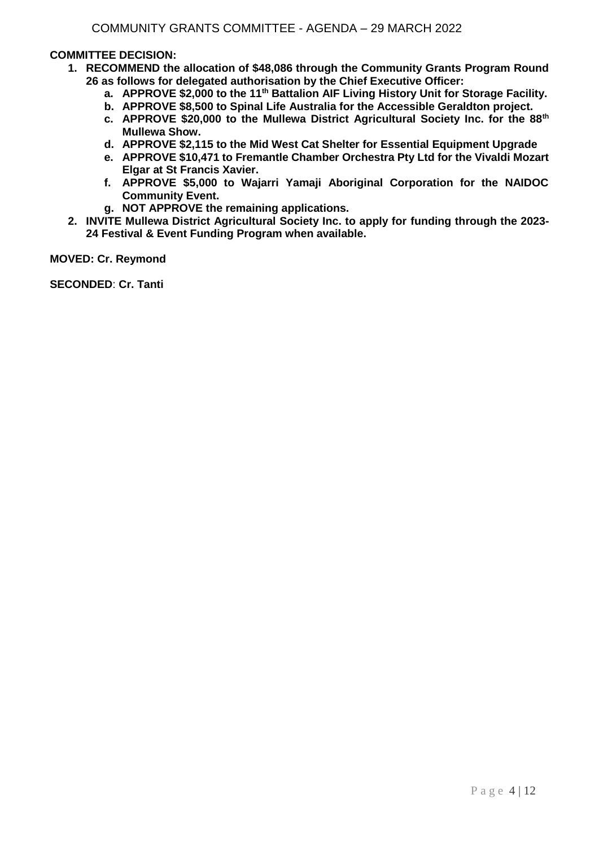## **COMMITTEE DECISION:**

- **1. RECOMMEND the allocation of \$48,086 through the Community Grants Program Round 26 as follows for delegated authorisation by the Chief Executive Officer:**
	- **a. APPROVE \$2,000 to the 11th Battalion AIF Living History Unit for Storage Facility.**
	- **b. APPROVE \$8,500 to Spinal Life Australia for the Accessible Geraldton project.**
	- **c. APPROVE \$20,000 to the Mullewa District Agricultural Society Inc. for the 88th Mullewa Show.**
	- **d. APPROVE \$2,115 to the Mid West Cat Shelter for Essential Equipment Upgrade**
	- **e. APPROVE \$10,471 to Fremantle Chamber Orchestra Pty Ltd for the Vivaldi Mozart Elgar at St Francis Xavier.**
	- **f. APPROVE \$5,000 to Wajarri Yamaji Aboriginal Corporation for the NAIDOC Community Event.**
	- **g. NOT APPROVE the remaining applications.**
- **2. INVITE Mullewa District Agricultural Society Inc. to apply for funding through the 2023- 24 Festival & Event Funding Program when available.**

**MOVED: Cr. Reymond**

**SECONDED**: **Cr. Tanti**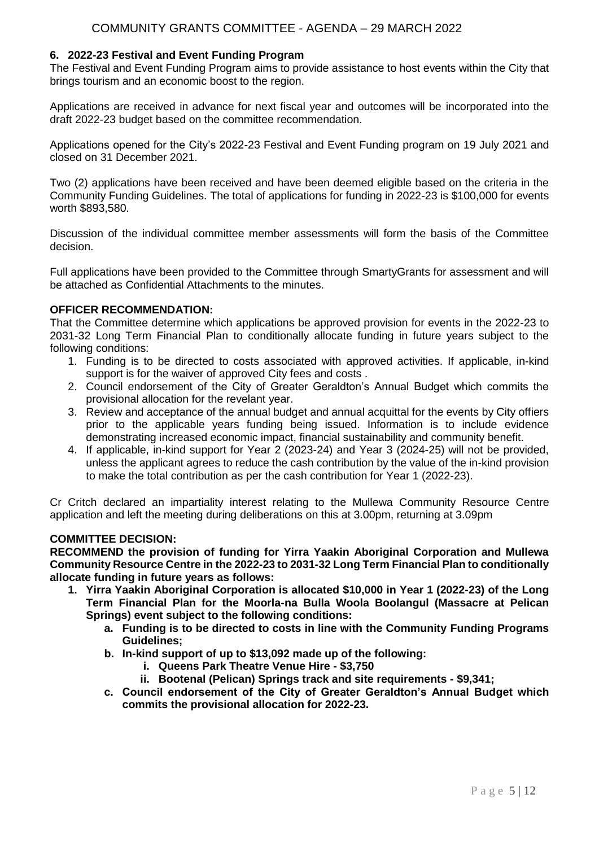## **6. 2022-23 Festival and Event Funding Program**

The Festival and Event Funding Program aims to provide assistance to host events within the City that brings tourism and an economic boost to the region.

Applications are received in advance for next fiscal year and outcomes will be incorporated into the draft 2022-23 budget based on the committee recommendation.

Applications opened for the City's 2022-23 Festival and Event Funding program on 19 July 2021 and closed on 31 December 2021.

Two (2) applications have been received and have been deemed eligible based on the criteria in the Community Funding Guidelines. The total of applications for funding in 2022-23 is \$100,000 for events worth \$893,580.

Discussion of the individual committee member assessments will form the basis of the Committee decision.

Full applications have been provided to the Committee through SmartyGrants for assessment and will be attached as Confidential Attachments to the minutes.

## **OFFICER RECOMMENDATION:**

That the Committee determine which applications be approved provision for events in the 2022-23 to 2031-32 Long Term Financial Plan to conditionally allocate funding in future years subject to the following conditions:

- 1. Funding is to be directed to costs associated with approved activities. If applicable, in-kind support is for the waiver of approved City fees and costs .
- 2. Council endorsement of the City of Greater Geraldton's Annual Budget which commits the provisional allocation for the revelant year.
- 3. Review and acceptance of the annual budget and annual acquittal for the events by City offiers prior to the applicable years funding being issued. Information is to include evidence demonstrating increased economic impact, financial sustainability and community benefit.
- 4. If applicable, in-kind support for Year 2 (2023-24) and Year 3 (2024-25) will not be provided, unless the applicant agrees to reduce the cash contribution by the value of the in-kind provision to make the total contribution as per the cash contribution for Year 1 (2022-23).

Cr Critch declared an impartiality interest relating to the Mullewa Community Resource Centre application and left the meeting during deliberations on this at 3.00pm, returning at 3.09pm

#### **COMMITTEE DECISION:**

**RECOMMEND the provision of funding for Yirra Yaakin Aboriginal Corporation and Mullewa Community Resource Centre in the 2022-23 to 2031-32 Long Term Financial Plan to conditionally allocate funding in future years as follows:**

- **1. Yirra Yaakin Aboriginal Corporation is allocated \$10,000 in Year 1 (2022-23) of the Long Term Financial Plan for the Moorla-na Bulla Woola Boolangul (Massacre at Pelican Springs) event subject to the following conditions:**
	- **a. Funding is to be directed to costs in line with the Community Funding Programs Guidelines;**
	- **b. In-kind support of up to \$13,092 made up of the following:**
		- **i. Queens Park Theatre Venue Hire - \$3,750**
		- **ii. Bootenal (Pelican) Springs track and site requirements - \$9,341;**
	- **c. Council endorsement of the City of Greater Geraldton's Annual Budget which commits the provisional allocation for 2022-23.**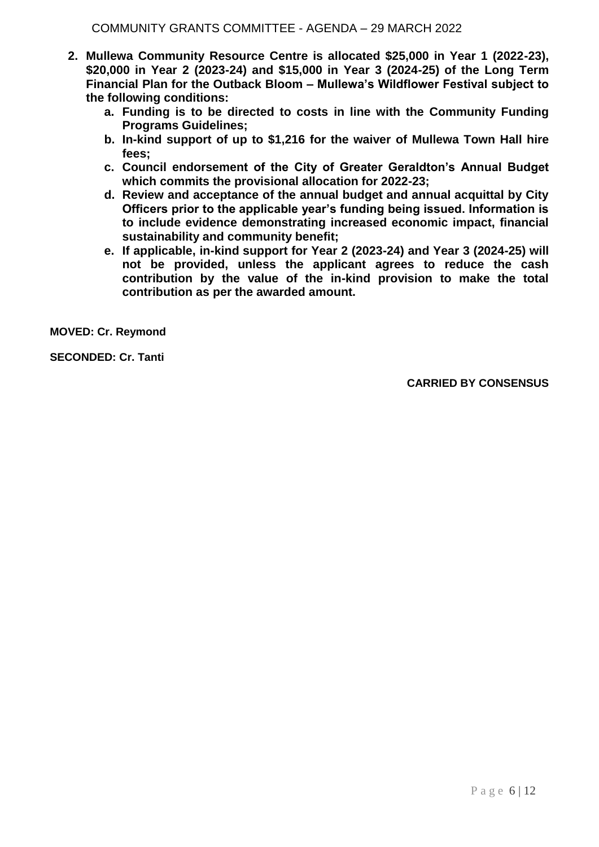- **2. Mullewa Community Resource Centre is allocated \$25,000 in Year 1 (2022-23), \$20,000 in Year 2 (2023-24) and \$15,000 in Year 3 (2024-25) of the Long Term Financial Plan for the Outback Bloom – Mullewa's Wildflower Festival subject to the following conditions:**
	- **a. Funding is to be directed to costs in line with the Community Funding Programs Guidelines;**
	- **b. In-kind support of up to \$1,216 for the waiver of Mullewa Town Hall hire fees;**
	- **c. Council endorsement of the City of Greater Geraldton's Annual Budget which commits the provisional allocation for 2022-23;**
	- **d. Review and acceptance of the annual budget and annual acquittal by City Officers prior to the applicable year's funding being issued. Information is to include evidence demonstrating increased economic impact, financial sustainability and community benefit;**
	- **e. If applicable, in-kind support for Year 2 (2023-24) and Year 3 (2024-25) will not be provided, unless the applicant agrees to reduce the cash contribution by the value of the in-kind provision to make the total contribution as per the awarded amount.**

**MOVED: Cr. Reymond**

**SECONDED: Cr. Tanti**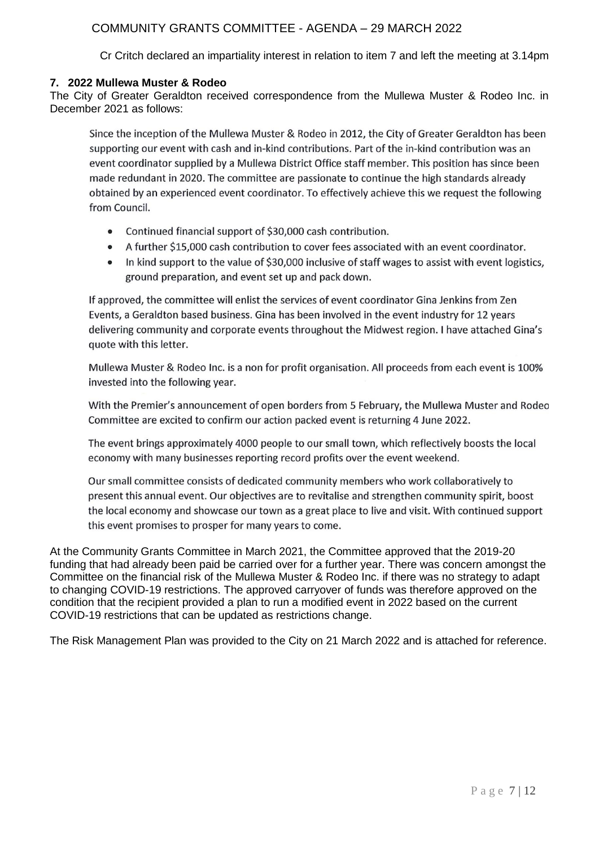# COMMUNITY GRANTS COMMITTEE - AGENDA – 29 MARCH 2022

Cr Critch declared an impartiality interest in relation to item 7 and left the meeting at 3.14pm

## **7. 2022 Mullewa Muster & Rodeo**

The City of Greater Geraldton received correspondence from the Mullewa Muster & Rodeo Inc. in December 2021 as follows:

Since the inception of the Mullewa Muster & Rodeo in 2012, the City of Greater Geraldton has been supporting our event with cash and in-kind contributions. Part of the in-kind contribution was an event coordinator supplied by a Mullewa District Office staff member. This position has since been made redundant in 2020. The committee are passionate to continue the high standards already obtained by an experienced event coordinator. To effectively achieve this we request the following from Council.

- Continued financial support of \$30,000 cash contribution.
- A further \$15,000 cash contribution to cover fees associated with an event coordinator.
- In kind support to the value of \$30,000 inclusive of staff wages to assist with event logistics.  $\bullet$ ground preparation, and event set up and pack down.

If approved, the committee will enlist the services of event coordinator Gina Jenkins from Zen Events, a Geraldton based business. Gina has been involved in the event industry for 12 years delivering community and corporate events throughout the Midwest region. I have attached Gina's quote with this letter.

Mullewa Muster & Rodeo Inc. is a non for profit organisation. All proceeds from each event is 100% invested into the following year.

With the Premier's announcement of open borders from 5 February, the Mullewa Muster and Rodeo Committee are excited to confirm our action packed event is returning 4 June 2022.

The event brings approximately 4000 people to our small town, which reflectively boosts the local economy with many businesses reporting record profits over the event weekend.

Our small committee consists of dedicated community members who work collaboratively to present this annual event. Our objectives are to revitalise and strengthen community spirit, boost the local economy and showcase our town as a great place to live and visit. With continued support this event promises to prosper for many years to come.

At the Community Grants Committee in March 2021, the Committee approved that the 2019-20 funding that had already been paid be carried over for a further year. There was concern amongst the Committee on the financial risk of the Mullewa Muster & Rodeo Inc. if there was no strategy to adapt to changing COVID-19 restrictions. The approved carryover of funds was therefore approved on the condition that the recipient provided a plan to run a modified event in 2022 based on the current COVID-19 restrictions that can be updated as restrictions change.

The Risk Management Plan was provided to the City on 21 March 2022 and is attached for reference.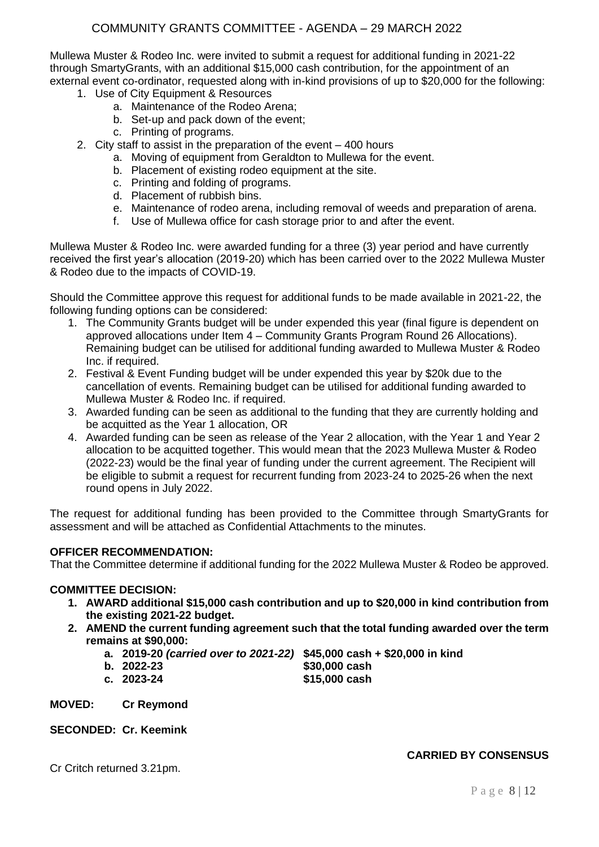# COMMUNITY GRANTS COMMITTEE - AGENDA – 29 MARCH 2022

Mullewa Muster & Rodeo Inc. were invited to submit a request for additional funding in 2021-22 through SmartyGrants, with an additional \$15,000 cash contribution, for the appointment of an external event co-ordinator, requested along with in-kind provisions of up to \$20,000 for the following:

- 1. Use of City Equipment & Resources
	- a. Maintenance of the Rodeo Arena;
	- b. Set-up and pack down of the event;
	- c. Printing of programs.
- 2. City staff to assist in the preparation of the event 400 hours
	- a. Moving of equipment from Geraldton to Mullewa for the event.
	- b. Placement of existing rodeo equipment at the site.
	- c. Printing and folding of programs.
	- d. Placement of rubbish bins.
	- e. Maintenance of rodeo arena, including removal of weeds and preparation of arena.
	- f. Use of Mullewa office for cash storage prior to and after the event.

Mullewa Muster & Rodeo Inc. were awarded funding for a three (3) year period and have currently received the first year's allocation (2019-20) which has been carried over to the 2022 Mullewa Muster & Rodeo due to the impacts of COVID-19.

Should the Committee approve this request for additional funds to be made available in 2021-22, the following funding options can be considered:

- 1. The Community Grants budget will be under expended this year (final figure is dependent on approved allocations under Item 4 – Community Grants Program Round 26 Allocations). Remaining budget can be utilised for additional funding awarded to Mullewa Muster & Rodeo Inc. if required.
- 2. Festival & Event Funding budget will be under expended this year by \$20k due to the cancellation of events. Remaining budget can be utilised for additional funding awarded to Mullewa Muster & Rodeo Inc. if required.
- 3. Awarded funding can be seen as additional to the funding that they are currently holding and be acquitted as the Year 1 allocation, OR
- 4. Awarded funding can be seen as release of the Year 2 allocation, with the Year 1 and Year 2 allocation to be acquitted together. This would mean that the 2023 Mullewa Muster & Rodeo (2022-23) would be the final year of funding under the current agreement. The Recipient will be eligible to submit a request for recurrent funding from 2023-24 to 2025-26 when the next round opens in July 2022.

The request for additional funding has been provided to the Committee through SmartyGrants for assessment and will be attached as Confidential Attachments to the minutes.

### **OFFICER RECOMMENDATION:**

That the Committee determine if additional funding for the 2022 Mullewa Muster & Rodeo be approved.

#### **COMMITTEE DECISION:**

- **1. AWARD additional \$15,000 cash contribution and up to \$20,000 in kind contribution from the existing 2021-22 budget.**
- **2. AMEND the current funding agreement such that the total funding awarded over the term remains at \$90,000:**
	- **a. 2019-20** *(carried over to 2021-22)* **\$45,000 cash + \$20,000 in kind**
	-
- **b. 2022-23 \$30,000 cash c. 2023-24 \$15,000 cash**

**MOVED: Cr Reymond**

**SECONDED: Cr. Keemink**

Cr Critch returned 3.21pm.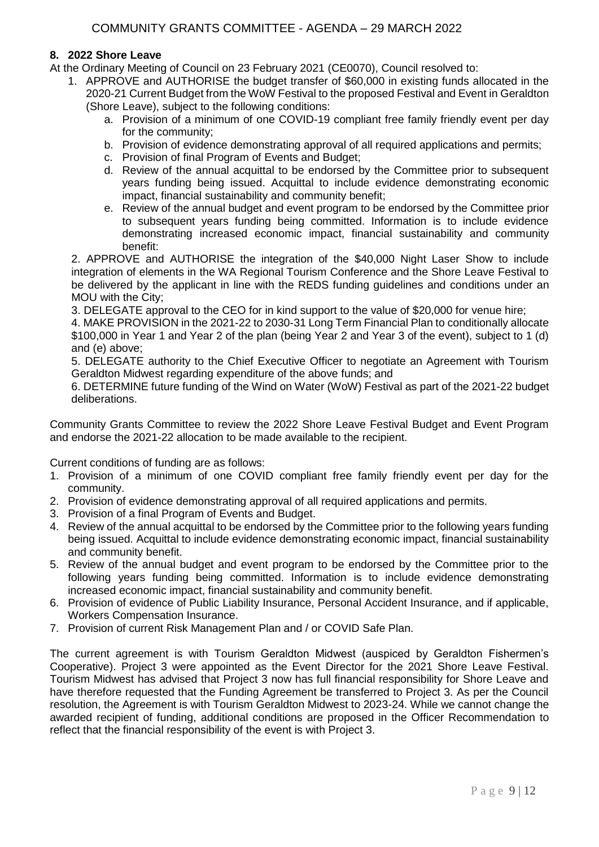## **8. 2022 Shore Leave**

At the Ordinary Meeting of Council on 23 February 2021 (CE0070), Council resolved to:

- 1. APPROVE and AUTHORISE the budget transfer of \$60,000 in existing funds allocated in the 2020-21 Current Budget from the WoW Festival to the proposed Festival and Event in Geraldton (Shore Leave), subject to the following conditions:
	- a. Provision of a minimum of one COVID-19 compliant free family friendly event per day for the community;
	- b. Provision of evidence demonstrating approval of all required applications and permits;
	- c. Provision of final Program of Events and Budget;
	- d. Review of the annual acquittal to be endorsed by the Committee prior to subsequent years funding being issued. Acquittal to include evidence demonstrating economic impact, financial sustainability and community benefit;
	- e. Review of the annual budget and event program to be endorsed by the Committee prior to subsequent years funding being committed. Information is to include evidence demonstrating increased economic impact, financial sustainability and community benefit:

2. APPROVE and AUTHORISE the integration of the \$40,000 Night Laser Show to include integration of elements in the WA Regional Tourism Conference and the Shore Leave Festival to be delivered by the applicant in line with the REDS funding guidelines and conditions under an MOU with the City;

3. DELEGATE approval to the CEO for in kind support to the value of \$20,000 for venue hire;

4. MAKE PROVISION in the 2021-22 to 2030-31 Long Term Financial Plan to conditionally allocate \$100,000 in Year 1 and Year 2 of the plan (being Year 2 and Year 3 of the event), subject to 1 (d) and (e) above;

5. DELEGATE authority to the Chief Executive Officer to negotiate an Agreement with Tourism Geraldton Midwest regarding expenditure of the above funds; and

6. DETERMINE future funding of the Wind on Water (WoW) Festival as part of the 2021-22 budget deliberations.

Community Grants Committee to review the 2022 Shore Leave Festival Budget and Event Program and endorse the 2021-22 allocation to be made available to the recipient.

Current conditions of funding are as follows:

- 1. Provision of a minimum of one COVID compliant free family friendly event per day for the community.
- 2. Provision of evidence demonstrating approval of all required applications and permits.
- 3. Provision of a final Program of Events and Budget.
- 4. Review of the annual acquittal to be endorsed by the Committee prior to the following years funding being issued. Acquittal to include evidence demonstrating economic impact, financial sustainability and community benefit.
- 5. Review of the annual budget and event program to be endorsed by the Committee prior to the following years funding being committed. Information is to include evidence demonstrating increased economic impact, financial sustainability and community benefit.
- 6. Provision of evidence of Public Liability Insurance, Personal Accident Insurance, and if applicable, Workers Compensation Insurance.
- 7. Provision of current Risk Management Plan and / or COVID Safe Plan.

The current agreement is with Tourism Geraldton Midwest (auspiced by Geraldton Fishermen's Cooperative). Project 3 were appointed as the Event Director for the 2021 Shore Leave Festival. Tourism Midwest has advised that Project 3 now has full financial responsibility for Shore Leave and have therefore requested that the Funding Agreement be transferred to Project 3. As per the Council resolution, the Agreement is with Tourism Geraldton Midwest to 2023-24. While we cannot change the awarded recipient of funding, additional conditions are proposed in the Officer Recommendation to reflect that the financial responsibility of the event is with Project 3.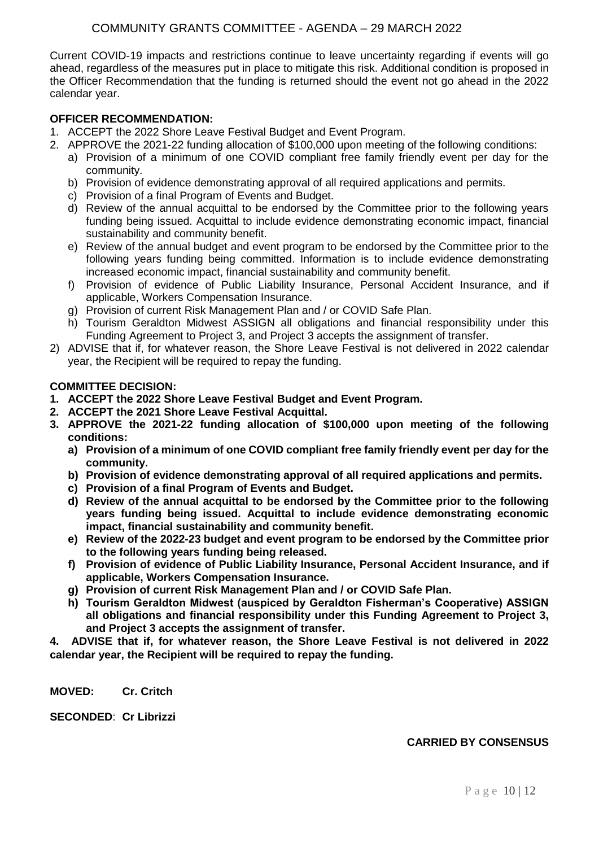# COMMUNITY GRANTS COMMITTEE - AGENDA – 29 MARCH 2022

Current COVID-19 impacts and restrictions continue to leave uncertainty regarding if events will go ahead, regardless of the measures put in place to mitigate this risk. Additional condition is proposed in the Officer Recommendation that the funding is returned should the event not go ahead in the 2022 calendar year.

## **OFFICER RECOMMENDATION:**

- 1. ACCEPT the 2022 Shore Leave Festival Budget and Event Program.
- 2. APPROVE the 2021-22 funding allocation of \$100,000 upon meeting of the following conditions:
	- a) Provision of a minimum of one COVID compliant free family friendly event per day for the community.
		- b) Provision of evidence demonstrating approval of all required applications and permits.
	- c) Provision of a final Program of Events and Budget.
	- d) Review of the annual acquittal to be endorsed by the Committee prior to the following years funding being issued. Acquittal to include evidence demonstrating economic impact, financial sustainability and community benefit.
	- e) Review of the annual budget and event program to be endorsed by the Committee prior to the following years funding being committed. Information is to include evidence demonstrating increased economic impact, financial sustainability and community benefit.
	- f) Provision of evidence of Public Liability Insurance, Personal Accident Insurance, and if applicable, Workers Compensation Insurance.
	- g) Provision of current Risk Management Plan and / or COVID Safe Plan.
	- h) Tourism Geraldton Midwest ASSIGN all obligations and financial responsibility under this Funding Agreement to Project 3, and Project 3 accepts the assignment of transfer.
- 2) ADVISE that if, for whatever reason, the Shore Leave Festival is not delivered in 2022 calendar year, the Recipient will be required to repay the funding.

#### **COMMITTEE DECISION:**

- **1. ACCEPT the 2022 Shore Leave Festival Budget and Event Program.**
- **2. ACCEPT the 2021 Shore Leave Festival Acquittal.**
- **3. APPROVE the 2021-22 funding allocation of \$100,000 upon meeting of the following conditions:**
	- **a) Provision of a minimum of one COVID compliant free family friendly event per day for the community.**
	- **b) Provision of evidence demonstrating approval of all required applications and permits.**
	- **c) Provision of a final Program of Events and Budget.**
	- **d) Review of the annual acquittal to be endorsed by the Committee prior to the following years funding being issued. Acquittal to include evidence demonstrating economic impact, financial sustainability and community benefit.**
	- **e) Review of the 2022-23 budget and event program to be endorsed by the Committee prior to the following years funding being released.**
	- **f) Provision of evidence of Public Liability Insurance, Personal Accident Insurance, and if applicable, Workers Compensation Insurance.**
	- **g) Provision of current Risk Management Plan and / or COVID Safe Plan.**
	- **h) Tourism Geraldton Midwest (auspiced by Geraldton Fisherman's Cooperative) ASSIGN all obligations and financial responsibility under this Funding Agreement to Project 3, and Project 3 accepts the assignment of transfer.**

**4. ADVISE that if, for whatever reason, the Shore Leave Festival is not delivered in 2022 calendar year, the Recipient will be required to repay the funding.**

**MOVED: Cr. Critch**

**SECONDED**: **Cr Librizzi**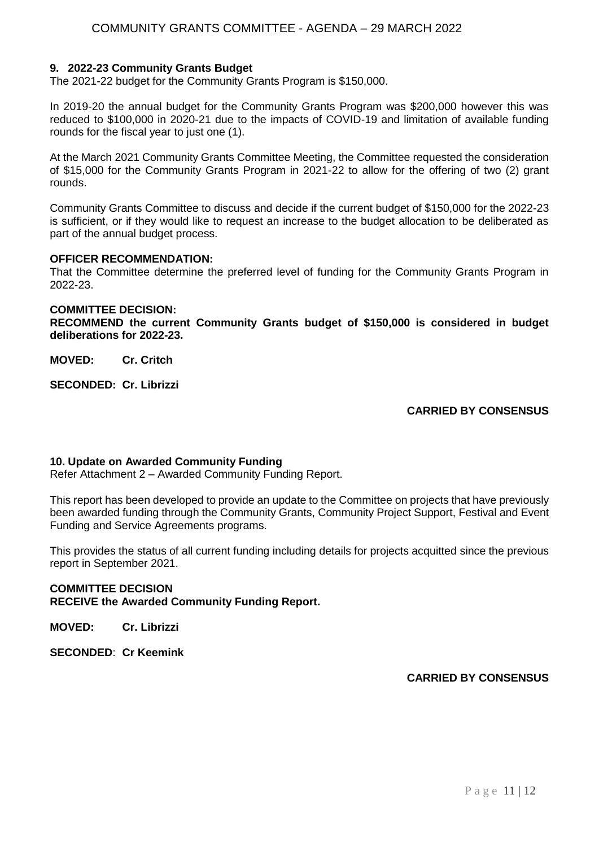## **9. 2022-23 Community Grants Budget**

The 2021-22 budget for the Community Grants Program is \$150,000.

In 2019-20 the annual budget for the Community Grants Program was \$200,000 however this was reduced to \$100,000 in 2020-21 due to the impacts of COVID-19 and limitation of available funding rounds for the fiscal year to just one (1).

At the March 2021 Community Grants Committee Meeting, the Committee requested the consideration of \$15,000 for the Community Grants Program in 2021-22 to allow for the offering of two (2) grant rounds.

Community Grants Committee to discuss and decide if the current budget of \$150,000 for the 2022-23 is sufficient, or if they would like to request an increase to the budget allocation to be deliberated as part of the annual budget process.

### **OFFICER RECOMMENDATION:**

That the Committee determine the preferred level of funding for the Community Grants Program in 2022-23.

#### **COMMITTEE DECISION:**

**RECOMMEND the current Community Grants budget of \$150,000 is considered in budget deliberations for 2022-23.**

**MOVED: Cr. Critch**

**SECONDED: Cr. Librizzi**

## **CARRIED BY CONSENSUS**

#### **10. Update on Awarded Community Funding**

Refer Attachment 2 – Awarded Community Funding Report.

This report has been developed to provide an update to the Committee on projects that have previously been awarded funding through the Community Grants, Community Project Support, Festival and Event Funding and Service Agreements programs.

This provides the status of all current funding including details for projects acquitted since the previous report in September 2021.

## **COMMITTEE DECISION RECEIVE the Awarded Community Funding Report.**

**MOVED: Cr. Librizzi**

**SECONDED**: **Cr Keemink**